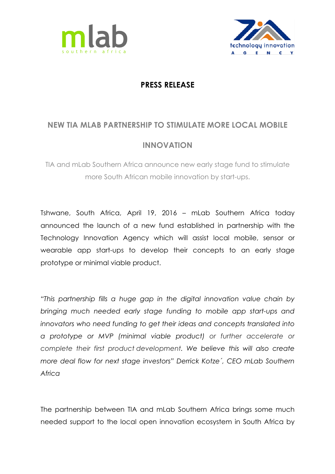



## **PRESS RELEASE**

## **NEW TIA MLAB PARTNERSHIP TO STIMULATE MORE LOCAL MOBILE**

## **INNOVATION**

TIA and mLab Southern Africa announce new early stage fund to stimulate more South African mobile innovation by start-ups.

Tshwane, South Africa, April 19, 2016 – mLab Southern Africa today announced the launch of a new fund established in partnership with the Technology Innovation Agency which will assist local mobile, sensor or wearable app start-ups to develop their concepts to an early stage prototype or minimal viable product.

*"This partnership fills a huge gap in the digital innovation value chain by bringing much needed early stage funding to mobile app start-ups and innovators who need funding to get their ideas and concepts translated into a prototype or MVP (minimal viable product) or further accelerate or complete their first product development. We believe this will also create more deal flow for next stage investors" Derrick Kotze´, CEO mLab Southern Africa*

The partnership between TIA and mLab Southern Africa brings some much needed support to the local open innovation ecosystem in South Africa by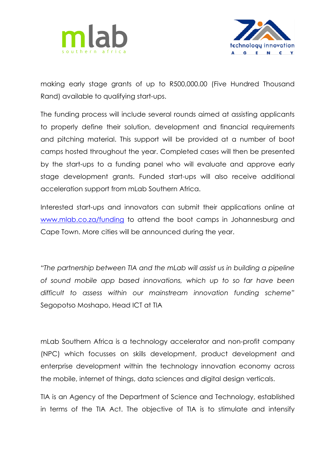



making early stage grants of up to R500,000.00 (Five Hundred Thousand Rand) available to qualifying start-ups.

The funding process will include several rounds aimed at assisting applicants to properly define their solution, development and financial requirements and pitching material. This support will be provided at a number of boot camps hosted throughout the year. Completed cases will then be presented by the start-ups to a funding panel who will evaluate and approve early stage development grants. Funded start-ups will also receive additional acceleration support from mLab Southern Africa.

Interested start-ups and innovators can submit their applications online at www.mlab.co.za/funding to attend the boot camps in Johannesburg and Cape Town. More cities will be announced during the year.

*"The partnership between TIA and the mLab will assist us in building a pipeline of sound mobile app based innovations, which up to so far have been difficult to assess within our mainstream innovation funding scheme"*  Segopotso Moshapo, Head ICT at TIA

mLab Southern Africa is a technology accelerator and non-profit company (NPC) which focusses on skills development, product development and enterprise development within the technology innovation economy across the mobile, internet of things, data sciences and digital design verticals.

TIA is an Agency of the Department of Science and Technology, established in terms of the TIA Act. The objective of TIA is to stimulate and intensify